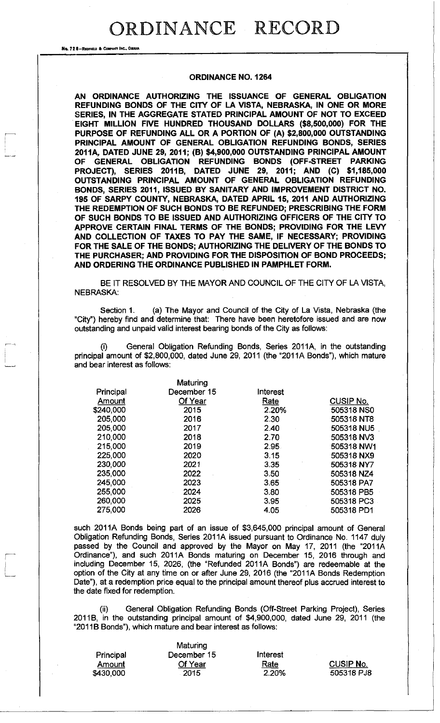No. 72 8-REDFIELD & COMPANY INC., OI

#### **ORDINANCE NO. 1264**

**AN ORDINANCE AUTHORIZING THE ISSUANCE OF GENERAL OBLIGATION REFUNDING BONDS OF THE CITY OF LA VISTA, NEBRASKA, IN ONE OR MORE SERIES, IN THE AGGREGATE STATED PRINCIPAL AMOUNT OF NOT TO EXCEED EIGHT MILLION FIVE HUNDRED THOUSAND DOLLARS (\$8,500,000) FOR THE PURPOSE OF REFUNDING ALL OR A PORTION OF (A) \$2,800,000 OUTSTANDING PRINCIPAL AMOUNT OF GENERAL OBLIGATION REFUNDING BONDS, SERIES 2011 A, DATED JUNE 29, 2011; (B) \$4,900,000 OUTSTANDING PRINCIPAL AMOUNT OF GENERAL OBLIGATION REFUNDING BONDS (OFF-STREET PARKING PROJECT), SERIES 2011B, DATED JUNE 29, 2011; AND (C) \$1,185,000 OUTSTANDING PRINCIPAL AMOUNT OF GENERAL OBLIGATION REFUNDING BONDS, SERIES 2011, ISSUED BY SANITARY AND IMPROVEMENT DISTRICT NO. 195 OF SARPY COUNTY, NEBRASKA, DATED APRIL 15, 2011 AND AUTHORIZING THE REDEMPTION OF SUCH BONDS TO BE REFUNDED; PRESCRIBING THE FORM OF SUCH BONDS TO BE ISSUED AND AUTHORIZING OFFICERS OF THE CITY TO APPROVE CERTAIN FINAL TERMS OF THE BONDS; PROVIDING FOR THE LEVY AND COLLECTION OF TAXES TO PAY THE SAME, IF NECESSARY; PROVIDING FOR THE SALE OF THE BONDS; AUTHORIZING THE DELIVERY OF THE BONDS TO THE PURCHASER; AND PROVIDING FOR THE DISPOSITION OF BOND PROCEEDS; AND ORDERING THE ORDINANCE PUBLISHED IN PAMPHLET FORM.** 

BE IT RESOLVED BY THE MAYOR AND COUNCIL OF THE CITY OF LA VISTA, NEBRASKA:

Section 1. (a) The Mayor and Council of the City of La Vista, Nebraska (the "City") hereby find and determine that: There have been heretofore issued and are now outstanding and unpaid valid interest bearing bonds of the City as follows:

General Obligation Refunding Bonds, Series 2011A, in the outstanding principal amount of \$2,800,000, dated June 29, 2011 (the "2011A Bonds"), which mature and bear interest as follows:

|           | Maturing    |          |                  |
|-----------|-------------|----------|------------------|
| Principal | December 15 | Interest |                  |
| Amount    | Of Year     | Rate     | <b>CUSIP No.</b> |
| \$240,000 | 2015        | 2.20%    | 505318 NS0       |
| 205,000   | 2016        | 2.30     | 505318 NT8       |
| 205,000   | 2017        | 2.40     | 505318 NU5       |
| 210,000   | 2018        | 2.70     | 505318 NV3       |
| 215,000   | 2019        | 2.95     | 505318 NW1       |
| 225,000   | 2020        | 3.15     | 505318 NX9       |
| 230,000   | 2021        | 3.35     | 505318 NY7       |
| 235,000   | 2022        | 3.50     | 505318 NZ4       |
| 245,000   | 2023        | 3.65     | 505318 PA7       |
| 255,000   | 2024        | 3.80     | 505318 PB5       |
| 260,000   | 2025        | 3.95     | 505318 PC3       |
| 275,000   | 2026        | 4.05     | 505318 PD1       |

such 2011A Bonds being part of an issue of \$3,645,000 principal amount of General Obligation Refunding Bonds, Series 2011A issued pursuant to Ordinance No. 1147 duly passed by the Council and approved by the Mayor on May 17, 2011 (the "2011A Ordinance"), and such 2011A Bonds maturing on December 15, 2016 through and including December 15, 2026, (the "Refunded 2011A Bonds") are redeemable at the option of the City at any time on or after June 29, 2016 (the "2011A Bonds Redemption Date"), at a redemption price equal to the principal amount thereof plus accrued interest to the date fixed for redemption.

(ii) General Obligation Refunding Bonds (Off-Street Parking Project), Series 2011B, in the outstanding principal amount of \$4,900,000, dated June 29, 2011 (the "2011B Bonds"), which mature and bear interest as follows:

|           | Maturing    |             |                  |
|-----------|-------------|-------------|------------------|
| Principal | December 15 | Interest    |                  |
| Amount    | Of Year     | <u>Rate</u> | <b>CUSIP No.</b> |
| \$430,000 | 2015        | 2.20%       | 505318 PJ8       |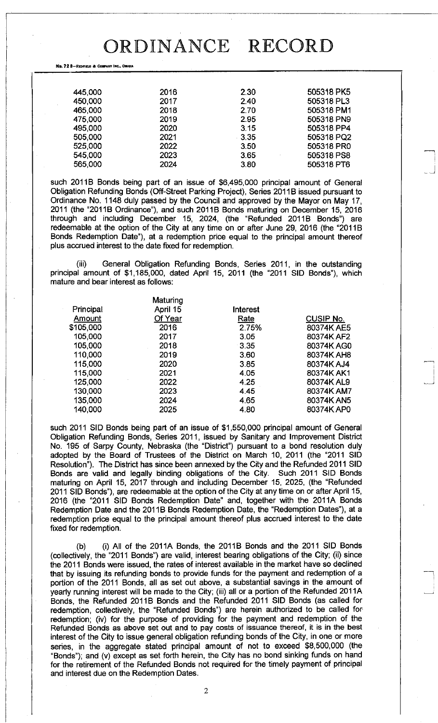No. 72 8-REDFIELD & COMPANY INC., OMAHA

| 445,000 | 2016 | 2.30 | 505318 PK5 |
|---------|------|------|------------|
| 450,000 | 2017 | 2.40 | 505318 PL3 |
| 465,000 | 2018 | 2.70 | 505318 PM1 |
| 475,000 | 2019 | 2.95 | 505318 PN9 |
| 495,000 | 2020 | 3.15 | 505318 PP4 |
| 505,000 | 2021 | 3.35 | 505318 PQ2 |
| 525,000 | 2022 | 3.50 | 505318 PR0 |
| 545,000 | 2023 | 3.65 | 505318 PS8 |
| 565,000 | 2024 | 3.80 | 505318 PT6 |
|         |      |      |            |

such 2011B Bonds being part of an issue of \$6,495,000 principal amount of General Obligation Refunding Bonds (Off-Street Parking Project), Series 2011B issued pursuant to Ordinance No. 1148 duly passed by the Council and approved by the Mayor on May 17, 2011 (the "2011B Ordinance"), and such 2011B Bonds maturing on December 15, 2016 through and including December 15, 2024, (the "Refunded 2011B Bonds") are redeemable at the option of the City at any time on or after June 29, 2016 (the "2011B Bonds Redemption Date"), at a redemption price equal to the principal amount thereof plus accrued interest to the date fixed for redemption.

(iii) General Obligation Refunding Bonds, Series 2011, in the outstanding principal amount of \$1,185,000, dated April 15, 2011 (the "2011 SID Bonds"), which mature and bear interest as follows:

|           | Maturing |          |                  |
|-----------|----------|----------|------------------|
| Principal | April 15 | Interest |                  |
| Amount    | Of Year  | Rate     | <b>CUSIP No.</b> |
| \$105,000 | 2016     | 2.75%    | 80374K AE5       |
| 105,000   | 2017     | 3.05     | 80374K AF2       |
| 105,000   | 2018     | 3.35     | 80374K AG0       |
| 110,000   | 2019     | 3.60     | 80374K AH8       |
| 115,000   | 2020     | 3.85     | 80374K AJ4       |
| 115,000   | 2021     | 4.05     | 80374K AK1       |
| 125,000   | 2022     | 4.25     | 80374K AL9       |
| 130,000   | 2023     | 4.45     | 80374K AM7       |
| 135,000   | 2024     | 4.65     | 80374K AN5       |
| 140,000   | 2025     | 4.80     | 80374K AP0       |
|           |          |          |                  |

such 2011 SID Bonds being part of an issue of \$1,550,000 principal amount of General Obligation Refunding Bonds, Series 2011, issued by Sanitary and Improvement District No. 195 of Sarpy County, Nebraska (the "District") pursuant to a bond resolution duly adopted by the Board of Trustees of the District on March 10, 2011 (the "2011 SID Resolution"). The District has since been annexed by the City and the Refunded 2011 SID Bonds are valid and legally binding obligations of the City. Such 2011 SID Bonds maturing on April 15, 2017 through and including December 15, 2025, (the "Refunded 2011 SID Bonds"), are redeemable at the option of the City at any time on or after April 15, 2016 (the "2011 SID Bonds Redemption Date" and, together with the 2011A Bonds Redemption Date and the 2011B Bonds Redemption Date, the "Redemption Dates"), at a redemption price equal to the principal amount thereof plus accrued interest to the date fixed for redemption.

(b) (i) All of the 2011A Bonds, the 2011B Bonds and the 2011 SID Bonds (collectively, the "2011 Bonds") are valid, interest bearing obligations of the City; (ii) since the 2011 Bonds were issued, the rates of interest available in the market have so declined that by issuing its refunding bonds to provide funds for the payment and redemption of a portion of the 2011 Bonds, all as set out above, a substantial savings in the amount of yearly running interest will be made to the City; (iii) all or a portion of the Refunded 2011A Bonds, the Refunded 2011B Bonds and the Refunded 2011 SID Bonds (as called for redemption, collectively, the "Refunded Bonds") are herein authorized to be called for redemption; (iv) for the purpose of providing for the payment and redemption of the Refunded Bonds as above set out and to pay costs of issuance thereof, it is in the best interest of the City to issue general obligation refunding bonds of the City, in one or more series, in the aggregate stated principal amount of not to exceed \$8,500,000 (the "Bonds"); and (v) except as set forth herein, the City has no bond sinking funds on hand for the retirement of the Refunded Bonds not required for the timely payment of principal and interest due on the Redemption Dates.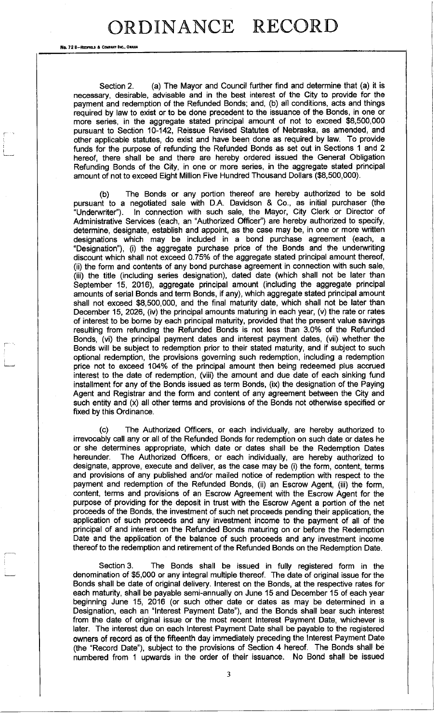No. 72 8-REDFIELD & COMPANY INC., OMAHA

Section 2. (a) The Mayor and Council further find and determine that (a) it is necessary, desirable, advisable and in the best interest of the City to provide for the payment and redemption of the Refunded Bonds; and, (b) all conditions, acts and things required by law to exist or to be done precedent to the issuance of the Bonds, in one or more series, in the aggregate stated principal amount of not to exceed \$8,500,000 pursuant to Section 10-142, Reissue Revised Statutes of Nebraska, as amended, and other applicable statutes, do exist and have been done as required by law. To provide funds for the purpose of refunding the Refunded Bonds as set out in Sections 1 and 2 hereof, there shall be and there are hereby ordered issued the General Obligation Refunding Bonds of the City, in one or more series, in the aggregate stated principal amount of not to exceed Eight Million Five Hundred Thousand Dollars (\$8,500,000).

(b) The Bonds or any portion thereof are hereby authorized to be sold pursuant to a negotiated sale with D.A. Davidson & Co., as initial purchaser (the "Underwriter"). In connection with such sale, the Mayor, City Clerk or Director of Administrative Services (each, an "Authorized Officer") are hereby authorized to specify, determine, designate, establish and appoint, as the case may be, in one or more written designations which may be included in a bond purchase agreement (each, a "Designation"), (i) the aggregate purchase price of the Bonds and the underwriting discount which shall not exceed 0.75% of the aggregate stated principal amount thereof, (ii) the form and contents of any bond purchase agreement in connection with such sale, (iii) the title (including series designation), dated date (which shall not be later than September 15, 2016), aggregate principal amount (including the aggregate principal amounts of serial Bonds and term Bonds, if any), which aggregate stated principal amount shall not exceed \$8,500,000, and the final maturity date, which shall not be later than December 15, 2026, (iv) the principal amounts maturing in each year, (v) the rate or rates of interest to be borne by each principal maturity, provided that the present value savings resulting from refunding the Refunded Bonds is not less than 3.0% of the Refunded Bonds, (vi) the principal payment dates and interest payment dates, (vii) whether the Bonds will be subject to redemption prior to their stated maturity, and if subject to such optional redemption, the provisions governing such redemption, including a redemption price not to exceed 104% of the principal amount then being redeemed plus accrued interest to the date of redemption, (viii) the amount and due date of each sinking fund installment for any of the Bonds issued as term Bonds, (ix) the designation of the Paying Agent and Registrar and the form and content of any agreement between the City and such entity and (x) all other terms and provisions of the Bonds not otherwise specified or fixed by this Ordinance.

(c) The Authorized Officers, or each individually, are hereby authorized to irrevocably call any or all of the Refunded Bonds for redemption on such date or dates he or she determines appropriate, which date or dates shall be the Redemption Dates hereunder. The Authorized Officers, or each individually, are hereby authorized to designate, approve, execute and deliver, as the case may be (i) the form, content, terms and provisions of any published and/or mailed notice of redemption with respect to the payment and redemption of the Refunded Bonds, (ii) an Escrow Agent, (iii) the form, content, terms and provisions of an Escrow Agreement with the Escrow Agent for the purpose of providing for the deposit in trust with the Escrow Agent a portion of the net proceeds of the Bonds, the investment of such net proceeds pending their application, the application of such proceeds and any investment income to the payment of all of the principal of and interest on the Refunded Bonds maturing on or before the Redemption Date and the application of the balance of such proceeds and any investment income thereof to the redemption and retirement of the Refunded Bonds on the Redemption Date.

Section 3. The Bonds shall be issued in fully registered form in the denomination of \$5,000 or any integral multiple thereof. The date of original issue for the Bonds shall be date of original delivery. Interest on the Bonds, at the respective rates for each maturity, shall be payable semi-annually on June 15 and December 15 of each year beginning June 15, 2016 (or such other date or dates as may be determined in a Designation, each an "Interest Payment Date"), and the Bonds shall bear such interest from the date of original issue or the most recent Interest Payment Date, whichever is later. The interest due on each Interest Payment Date shall be payable to the registered owners of record as of the fifteenth day immediately preceding the Interest Payment Date (the "Record Date"), subject to the provisions of Section 4 hereof. The Bonds shall be numbered from 1 upwards in the order of their issuance. No Bond shall be issued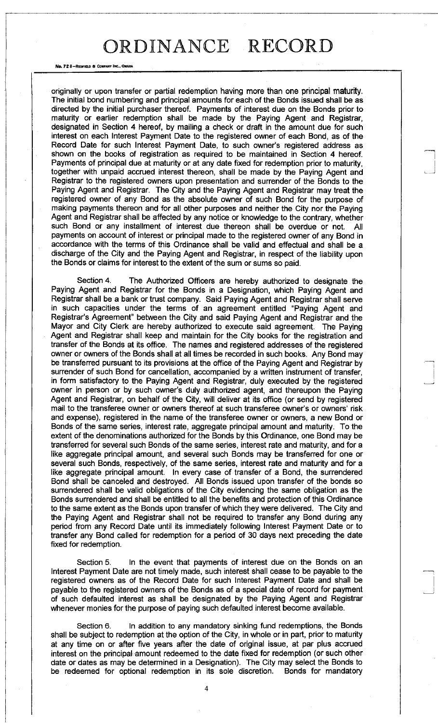No. 72 S-REDFIELD & COMPANY INC., OWAH

originally or upon transfer or partial redemption having more than one principal maturity. The initial bond numbering and principal amounts for each of the Bonds issued shall be as directed by the initial purchaser thereof. Payments of interest due on the Bonds prior to maturity or earlier redemption shall be made by the Paying Agent and Registrar, designated in Section 4 hereof, by mailing a check or draft in the amount due for such interest on each Interest Payment Date to the registered owner of each Bond, as of the Record Date for such Interest Payment Date, to such owner's registered address as shown on the books of registration as required to be maintained in Section 4 hereof. Payments of principal due at maturity or at any date fixed for redemption prior to maturity, together with unpaid accrued interest thereon, shall be made by the Paying Agent and Registrar to the registered owners upon presentation and surrender of the Bonds to the Paying Agent and Registrar. The City and the Paying Agent and Registrar may treat the registered owner of any Bond as the absolute owner of such Bond for the purpose of making payments thereon and for all other purposes and neither the City nor the Paying Agent and Registrar shall be affected by any notice or knowledge to the contrary, whether such Bond or any installment of interest due thereon shall be overdue or not. All payments on account of interest or principal made to the registered owner of any Bond in accordance with the terms of this Ordinance shall be valid and effectual and shall be a discharge of the City and the Paying Agent and Registrar, in respect of the liability upon the Bonds or claims for interest to the extent of the sum or sums so paid.

Section 4. The Authorized Officers are hereby authorized to designate the Paying Agent and Registrar for the Bonds in a Designation, which Paying Agent and Registrar shall be a bank or trust company. Said Paying Agent and Registrar shall serve in such capacities under the terms of an agreement entitled "Paying Agent and Registrar's Agreement" between the City and said Paying Agent and Registrar and the Mayor and City Clerk are hereby authorized to execute said agreement. The Paying Agent and Registrar shall keep and maintain for the City books for the registration and transfer of the Bonds at its office. The names and registered addresses of the registered owner or owners of the Bonds shall at all times be recorded in such books. Any Bond may be transferred pursuant to its provisions at the office of the Paying Agent and Registrar by surrender of such Bond for cancellation, accompanied by a written instrument of transfer, in form satisfactory to the Paying Agent and Registrar, duly executed by the registered owner in person or by such owner's duly authorized agent, and thereupon the Paying Agent and Registrar, on behalf of the City, will deliver at its office (or send by registered mail to the transferee owner or owners thereof at such transferee owner's or owners' risk and expense), registered in the name of the transferee owner or owners, a new Bond or Bonds of the same series, interest rate, aggregate principal amount and maturity. To the extent of the denominations authorized for the Bonds by this Ordinance, one Bond may be transferred for several such Bonds of the same series, interest rate and maturity, and for a like aggregate principal amount, and several such Bonds may be transferred for one or several such Bonds, respectively, of the same series, interest rate and maturity and for a like aggregate principal amount. In every case of transfer of a Bond, the surrendered Bond shall be canceled and destroyed. All Bonds issued upon transfer of the bonds so surrendered shall be valid obligations of the City evidencing the same obligation as the Bonds surrendered and shall be entitled to all the benefits and protection of this Ordinance to the same extent as the Bonds upon transfer of which they were delivered. The City and the Paying Agent and Registrar shall not be required to transfer any Bond during any period from any Record Date until its immediately following Interest Payment Date or to transfer any Bond called for redemption for a period of 30 days next preceding the date fixed for redemption.

Section 5. In the event that payments of interest due on the Bonds on an Interest Payment Date are not timely made, such interest shall cease to be payable to the registered owners as of the Record Date for such Interest Payment Date and shall be payable to the registered owners of the Bonds as of a special date of record for payment of such defaulted interest as shall be designated by the Paying Agent and Registrar whenever monies for the purpose of paying such defaulted interest become available.

Section 6. In addition to any mandatory sinking fund redemptions, the Bonds shall be subject to redemption at the option of the City, in whole or in part, prior to maturity at any time on or after five years after the date of original issue, at par plus accrued interest on the principal amount redeemed to the date fixed for redemption (or such other date or dates as may be determined in a Designation). The City may select the Bonds to be redeemed for optional redemption in its sole discretion. Bonds for mandatory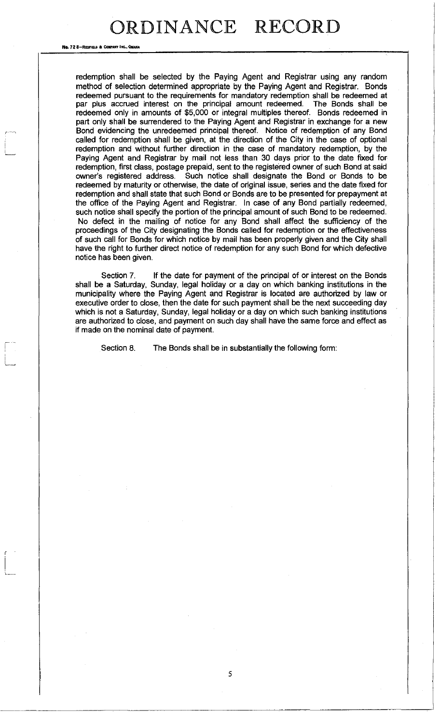#### No. 72 8-Repries & Company Inc., OMAN/

redemption shall be selected by the Paying Agent and Registrar using any random method of selection determined appropriate by the Paying Agent and Registrar. Bonds redeemed pursuant to the requirements for mandatory redemption shall be redeemed at par plus accrued interest on the principal amount redeemed. The Bonds shall be redeemed only in amounts of \$5,000 or integral multiples thereof. Bonds redeemed in part only shall be surrendered to the Paying Agent and Registrar in exchange for a new Bond evidencing the unredeemed principal thereof. Notice of redemption of any Bond called for redemption shall be given, at the direction of the City in the case of optional redemption and without further direction in the case of mandatory redemption, by the Paying Agent and Registrar by mail not less than 30 days prior to the date fixed for redemption, first class, postage prepaid, sent to the registered owner of such Bond at said owner's registered address. Such notice shall designate the Bond or Bonds to be redeemed by maturity or otherwise, the date of original issue, series and the date fixed for redemption and shall state that such Bond or Bonds are to be presented for prepayment at the office of the Paying Agent and Registrar. In case of any Bond partially redeemed, such notice shall specify the portion of the principal amount of such Bond to be redeemed. No defect in the mailing of notice for any Bond shall affect the sufficiency of the proceedings of the City designating the Bonds called for redemption or the effectiveness of such call for Bonds for which notice by mail has been properly given and the City shall have the right to further direct notice of redemption for any such Bond for which defective notice has been given.

Section 7. If the date for payment of the principal of or interest on the Bonds shall be a Saturday, Sunday, legal holiday or a day on which banking institutions in the municipality where the Paying Agent and Registrar is located are authorized by law or executive order to close, then the date for such payment shall be the next succeeding day which is not a Saturday, Sunday, legal holiday or a day on which such banking institutions are authorized to close, and payment on such day shall have the same force and effect as if made on the nominal date of payment.

5

Section 8. The Bonds shall be in substantially the following form: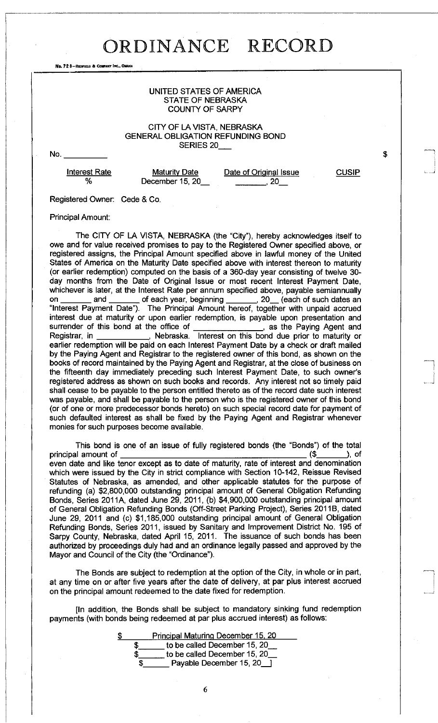No. 72 8-REDFIELD & COMPANY INC., OMAH

### UNITED STATES OF AMERICA STATE OF NEBRASKA COUNTY OF SARPY

### CITY OF LA VISTA, NEBRASKA GENERAL OBLIGATION REFUNDING BOND SERIES 20

No.

Interest Rate **%** 

**Maturity Date** December 15, 20 Date of Original Issue **, 20** 

**CUSIP** 

\$

Registered Owner: Cede & Co.

Principal Amount:

The CITY OF LA VISTA, NEBRASKA (the "City"), hereby acknowledges itself to owe and for value received promises to pay to the Registered Owner specified above, or registered assigns, the Principal Amount specified above in lawful money of the United States of America on the Maturity Date specified above with interest thereon to maturity (or earlier redemption) computed on the basis of a 360-day year consisting of twelve 30 day months from the Date of Original Issue or most recent Interest Payment Date, whichever is later, at the Interest Rate per annum specified above, payable semiannually on \_\_\_\_\_\_\_ and \_\_\_\_\_\_\_ of each year, beginning \_\_\_\_\_\_\_, 20\_\_ (each of such dates an "Interest Payment Date"). The Principal Amount hereof, together with unpaid accrued interest due at maturity or upon earlier redemption, is payable upon presentation and surrender of this bond at the office of \_\_\_\_\_\_\_\_\_\_\_\_\_\_\_\_, as the Paying Agent and Registrar, in \_\_\_\_\_\_\_\_\_\_\_\_, Nebraska. Interest on this bond due prior to maturity or earlier redemption will be paid on each Interest Payment Date by a check or draft mailed by the Paying Agent and Registrar to the registered owner of this bond, as shown on the books of record maintained by the Paying Agent and Registrar, at the close of business on the fifteenth day immediately preceding such Interest Payment Date, to such owner's registered address as shown on such books and records. Any interest not so timely paid shall cease to be payable to the person entitled thereto as of the record date such interest was payable, and shall be payable to the person who is the registered owner of this bond (or of one or more predecessor bonds hereto) on such special record date for payment of such defaulted interest as shall be fixed by the Paying Agent and Registrar whenever monies for such purposes become available.

This bond is one of an issue of fully registered bonds (the "Bonds") of the total principal amount of (\$ ), of even date and like tenor except as to date of maturity, rate of interest and denomination which were issued by the City in strict compliance with Section 10-142, Reissue Revised Statutes of Nebraska, as amended, and other applicable statutes for the purpose of refunding (a) \$2,800,000 outstanding principal amount of General Obligation Refunding Bonds, Series 2011A, dated June 29, 2011, (b) \$4,900,000 outstanding principal amount of General Obligation Refunding Bonds (Off-Street Parking Project), Series 2011B, dated June 29, 2011 and (c) \$1,185,000 outstanding principal amount of General Obligation Refunding Bonds, Series 2011, issued by Sanitary and Improvement District No. 195 of Sarpy County, Nebraska, dated April 15, 2011. The issuance of such bonds has been authorized by proceedings duly had and an ordinance legally passed and approved by the Mayor and Council of the City (the "Ordinance").

The Bonds are subject to redemption at the option of the City, in whole or in part, at any time on or after five years after the date of delivery, at par plus interest accrued on the principal amount redeemed to the date fixed for redemption.

[In addition, the Bonds shall be subject to mandatory sinking fund redemption payments (with bonds being redeemed at par plus accrued interest) as follows:

|   | Principal Maturing December 15, 20 |
|---|------------------------------------|
|   | to be called December 15, 20       |
|   | to be called December 15, 20       |
| S | Payable December 15, 20            |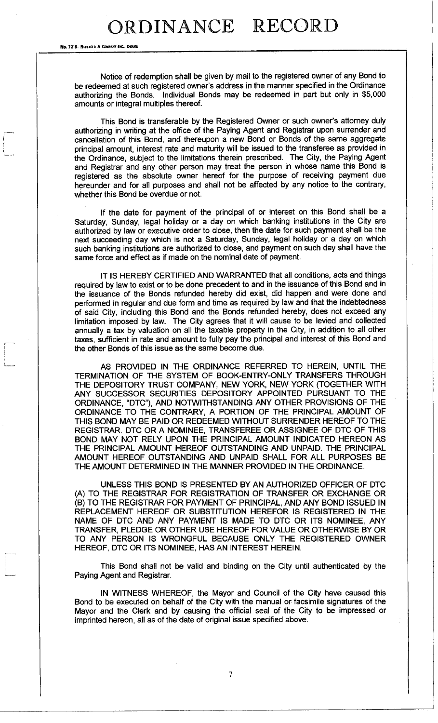No. 72 8-REDFIELD & COMPANY INC., OMAHA

Notice of redemption shall be given by mail to the registered owner of any Bond to be redeemed at such registered owner's address in the manner specified in the Ordinance authorizing the Bonds. Individual Bonds may be redeemed in part but only in \$5,000 amounts or integral multiples thereof.

This Bond is transferable by the Registered Owner or such owner's attorney duly authorizing in writing at the office of the Paying Agent and Registrar upon surrender and cancellation of this Bond, and thereupon a new Bond or Bonds of the same aggregate principal amount, interest rate and maturity will be issued to the transferee as provided in the Ordinance, subject to the limitations therein prescribed. The City, the Paying Agent and Registrar and any other person may treat the person in whose name this Bond is registered as the absolute owner hereof for the purpose of receiving payment due hereunder and for all purposes and shall not be affected by any notice to the contrary, whether this Bond be overdue or not.

If the date for payment of the principal of or interest on this Bond shall be a Saturday, Sunday, legal holiday or a day on which banking institutions in the City are authorized by law or executive order to close, then the date for such payment shall be the next succeeding day which is not a Saturday, Sunday, legal holiday or a day on which such banking institutions are authorized to close, and payment on such day shall have the same force and effect as if made on the nominal date of payment.

IT IS HEREBY CERTIFIED AND WARRANTED that all conditions, acts and things required by law to exist or to be done precedent to and in the issuance of this Bond and in the issuance of the Bonds refunded hereby did exist, did happen and were done and performed in regular and due form and time as required by law and that the indebtedness of said City, including this Bond and the Bonds refunded hereby, does not exceed any limitation imposed by law. The City agrees that it will cause to be levied and collected annually a tax by valuation on all the taxable property in the City, in addition to all other taxes, sufficient in rate and amount to fully pay the principal and interest of this Bond and the other Bonds of this issue as the same become due.

AS PROVIDED IN THE ORDINANCE REFERRED TO HEREIN, UNTIL THE TERMINATION OF THE SYSTEM OF BOOK-ENTRY-ONLY TRANSFERS THROUGH THE DEPOSITORY TRUST COMPANY, NEW YORK, NEW YORK (TOGETHER WITH ANY SUCCESSOR SECURITIES DEPOSITORY APPOINTED PURSUANT TO THE ORDINANCE, "DTC"), AND NOTWITHSTANDING ANY OTHER PROVISIONS OF THE ORDINANCE TO THE CONTRARY, A PORTION OF THE PRINCIPAL AMOUNT OF THIS BOND MAY BE PAID OR REDEEMED WITHOUT SURRENDER HEREOF TO THE REGISTRAR. DTC OR A NOMINEE, TRANSFEREE OR ASSIGNEE OF DTC OF THIS BOND MAY NOT RELY UPON THE PRINCIPAL AMOUNT INDICATED HEREON AS THE PRINCIPAL AMOUNT HEREOF OUTSTANDING AND UNPAID. THE PRINCIPAL AMOUNT HEREOF OUTSTANDING AND UNPAID SHALL FOR ALL PURPOSES BE THE AMOUNT DETERMINED IN THE MANNER PROVIDED IN THE ORDINANCE.

UNLESS THIS BOND IS PRESENTED BY AN AUTHORIZED OFFICER OF DTC (A) TO THE REGISTRAR FOR REGISTRATION OF TRANSFER OR EXCHANGE OR (B) TO THE REGISTRAR FOR PAYMENT OF PRINCIPAL, AND ANY BOND ISSUED IN REPLACEMENT HEREOF OR SUBSTITUTION HEREFOR IS REGISTERED IN THE NAME OF DTC AND ANY PAYMENT IS MADE TO DTC OR ITS NOMINEE, ANY TRANSFER, PLEDGE OR OTHER USE HEREOF FOR VALUE OR OTHERWISE BY OR TO ANY PERSON IS WRONGFUL BECAUSE ONLY THE REGISTERED OWNER HEREOF, DTC OR ITS NOMINEE, HAS AN INTEREST HEREIN.

This Bond shall not be valid and binding on the City until authenticated by the Paying Agent and Registrar.

IN WITNESS WHEREOF, the Mayor and Council of the City have caused this Bond to be executed on behalf of the City with the manual or facsimile signatures of the Mayor and the Clerk and by causing the official seal of the City to be impressed or imprinted hereon, all as of the date of original issue specified above.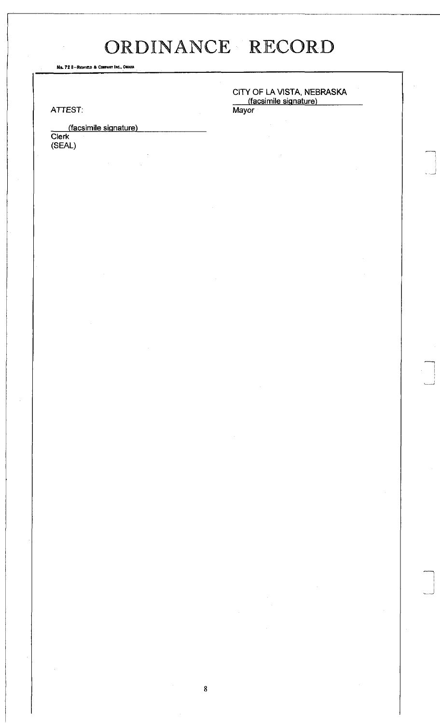No. 72 B-REDFIELD & COMPANT INC., OMAHA

ATTEST: *Mayor* 

(facsimile signature Clerk (SEAL)

CITY OF LA VISTA, NEBRASKA (facsimile signature

...J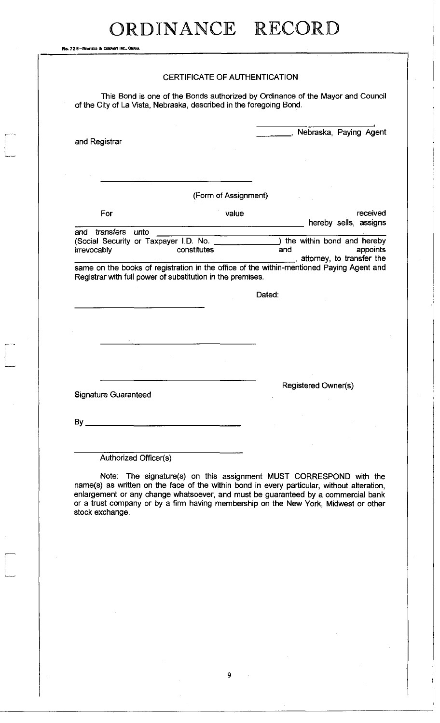No. 72 B-REDFIEU) ft **C**OMPANY **I**NC., **O**MAHA

|                                                      | CERTIFICATE OF AUTHENTICATION                                                                                        |                                                                                                                                                |
|------------------------------------------------------|----------------------------------------------------------------------------------------------------------------------|------------------------------------------------------------------------------------------------------------------------------------------------|
|                                                      | of the City of La Vista, Nebraska, described in the foregoing Bond.                                                  | This Bond is one of the Bonds authorized by Ordinance of the Mayor and Council                                                                 |
| and Registrar                                        |                                                                                                                      | Nebraska, Paying Agent                                                                                                                         |
|                                                      |                                                                                                                      |                                                                                                                                                |
|                                                      | (Form of Assignment)                                                                                                 |                                                                                                                                                |
| For                                                  | value                                                                                                                | received<br>hereby sells, assigns                                                                                                              |
| and transfers unto                                   |                                                                                                                      |                                                                                                                                                |
| (Social Security or Taxpayer I.D. No.<br>irrevocably | constitutes                                                                                                          | ) the within bond and hereby                                                                                                                   |
|                                                      |                                                                                                                      | and                                                                                                                                            |
|                                                      | Registrar with full power of substitution in the premises.                                                           | appoints<br>_, attorney, to transfer the<br>same on the books of registration in the office of the within-mentioned Paying Agent and<br>Dated: |
|                                                      |                                                                                                                      |                                                                                                                                                |
|                                                      |                                                                                                                      |                                                                                                                                                |
|                                                      |                                                                                                                      |                                                                                                                                                |
| <b>Signature Guaranteed</b>                          |                                                                                                                      | <b>Registered Owner(s)</b>                                                                                                                     |
|                                                      | <u> 1980 - John Harry Barn, mars and deutscher Schwarzer und der Stadt und der Stadt und der Stadt und der Stadt</u> |                                                                                                                                                |
|                                                      |                                                                                                                      |                                                                                                                                                |

Note: The signature(s) on this assignment MUST CORRESPOND with the name(s) as written on the face of the within bond in every particular, without alteration, enlargement or any change whatsoever, and must be guaranteed by a commercial bank or a trust company or by a firm having membership on the New York, Midwest or other stock exchange.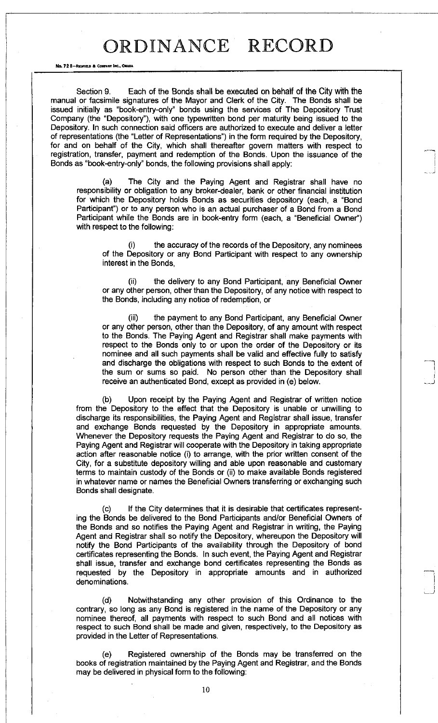No. 72 8-REDFIELD & COMPANY INC., ON

Section 9. Each of the Bonds shall be executed on behalf of the City with the manual or facsimile signatures of the Mayor and Clerk of the City. The Bonds shall be issued initially as "book-entry-only" bonds using the services of The Depository Trust Company (the "Depository"), with one typewritten bond per maturity being issued to the Depository. In such connection said officers are authorized to execute and deliver a letter of representations (the "Letter of Representations") in the form required by the Depository, for and on behalf of the City, which shall thereafter govern matters with respect to registration, transfer, payment and redemption of the Bonds. Upon the issuance of the Bonds as "book-entry-only" bonds, the following provisions shall apply:

(a) The City and the Paying Agent and Registrar shall have no responsibility or obligation to any broker-dealer, bank or other financial institution for which the Depository holds Bonds as securities depository (each, a "Bond Participant") or to any person who is an actual purchaser of a Bond from a Bond Participant while the Bonds are in book-entry form (each, a "Beneficial Owner") with respect to the following:

the accuracy of the records of the Depository, any nominees of the Depository or any Bond Participant with respect to any ownership interest in the Bonds,

(ii) the delivery to any Bond Participant, any Beneficial Owner or any other person, other than the Depository, of any notice with respect to the Bonds, including any notice of redemption, or

(iii) the payment to any Bond Participant, any Beneficial Owner or any other person, other than the Depository, of any amount with respect to the Bonds. The Paying Agent and Registrar shall make payments with respect to the Bonds only to or upon the order of the Depository or its nominee and all such payments shall be valid and effective fully to satisfy and discharge the obligations with respect to such Bonds to the extent of the sum or sums so paid. No person other than the Depository shall receive an authenticated Bond, except as provided in (e) below.

(b) Upon receipt by the Paying Agent and Registrar of written notice from the Depository to the effect that the Depository is unable or unwilling to discharge its responsibilities, the Paying Agent and Registrar shall issue, transfer and exchange Bonds requested by the Depository in appropriate amounts. Whenever the Depository requests the Paying Agent and Registrar to do so, the Paying Agent and Registrar will cooperate with the Depository in taking appropriate action after reasonable notice (i) to arrange, with the prior written consent of the City, for a substitute depository willing and able upon reasonable and customary terms to maintain custody of the Bonds or (ii) to make available Bonds registered in whatever name or names the Beneficial Owners transferring or exchanging such Bonds shall designate.

(c) If the City determines that it is desirable that certificates representing the Bonds be delivered to the Bond Participants and/or Beneficial Owners of the Bonds and so notifies the Paying Agent and Registrar in writing, the Paying Agent and Registrar shall so notify the Depository, whereupon the Depository will notify the Bond Participants of the availability through the Depository of bond certificates representing the Bonds. In such event, the Paying Agent and Registrar shall issue, transfer and exchange bond certificates representing the Bonds as requested by the Depository in appropriate amounts and in authorized denominations.

(d) Notwithstanding any other provision of this Ordinance to the contrary, so long as any Bond is registered in the name of the Depository or any nominee thereof, all payments with respect to such Bond and all notices with respect to such Bond shall be made and given, respectively, to the Depository as provided in the Letter of Representations.

(e) Registered ownership of the Bonds may be transferred on the books of registration maintained by the Paying Agent and Registrar, and the Bonds may be delivered in physical form to the following: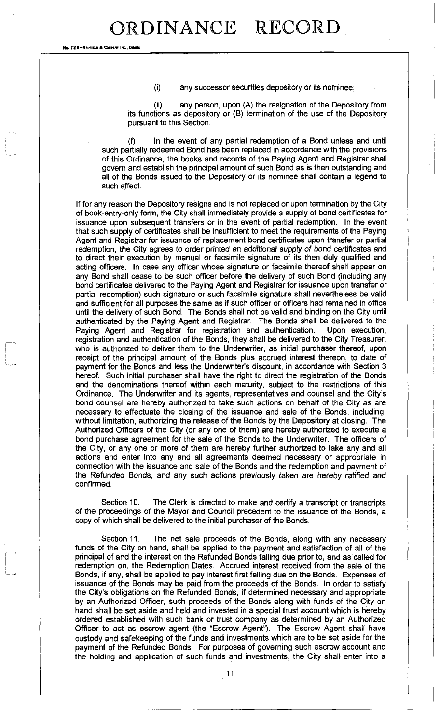No. 72 8-REDEIELD & COMPANY INC., ON

(i) any successor securities depository or its nominee;

(ii) any person, upon (A) the resignation of the Depository from its functions as depository or (B) termination of the use of the Depository pursuant to this Section.

(f) In the event of any partial redemption of a Bond unless and until such partially redeemed Bond has been replaced in accordance with the provisions of this Ordinance, the books and records of the Paying Agent and Registrar shall govern and establish the principal amount of such Bond as is then outstanding and all of the Bonds issued to the Depository or its nominee shall contain a legend to such effect. /

If for any reason the Depository resigns and is not replaced or upon termination by the City of book-entry-only form, the City shall immediately provide a supply of bond certificates for issuance upon subsequent transfers or in the event of partial redemption. In the event that such supply of certificates shall be insufficient to meet the requirements of the Paying Agent and Registrar for issuance of replacement bond certificates upon transfer or partial redemption, the City agrees to order printed an additional supply of bond certificates and to direct their execution by manual or facsimile signature of its then duly qualified and acting officers. In case any officer whose signature or facsimile thereof shall appear on any Bond shall cease to be such officer before the delivery of such Bond (including any bond certificates delivered to the Paying Agent and Registrar for issuance upon transfer or partial redemption) such signature or such facsimile signature shall nevertheless be valid and sufficient for all purposes the same as if such officer or officers had remained in office until the delivery of such Bond. The Bonds shall not be valid and binding on the City until authenticated by the Paying Agent and Registrar. The Bonds shall be delivered to the Paying Agent and Registrar for registration and authentication. Upon execution, registration and authentication of the Bonds, they shall be delivered to the City Treasurer, who is authorized to deliver them to the Underwriter, as initial purchaser thereof, upon receipt of the principal amount of the Bonds plus accrued interest thereon, to date of payment for the Bonds and less the Underwriter's discount, in accordance with Section 3 hereof. Such initial purchaser shall have the right to direct the registration of the Bonds and the denominations thereof within each maturity, subject to the restrictions of this Ordinance. The Underwriter and its agents, representatives and counsel and the City's bond counsel are hereby authorized to take such actions on behalf of the City as are necessary to effectuate the closing of the issuance and sale of the Bonds, including, without limitation, authorizing the release of the Bonds by the Depository at closing. The Authorized Officers of the City (or any one of them) are hereby authorized to execute a bond purchase agreement for the sale of the Bonds to the Underwriter. The officers of the City, or any one or more of them are hereby further authorized to take any and all actions and enter into any and all agreements deemed necessary or appropriate in connection with the issuance and sale of the Bonds and the redemption and payment of the Refunded Bonds, and any such actions previously taken are hereby ratified and confirmed.

Section 10. The Clerk is directed to make and certify a transcript or transcripts of the proceedings of the Mayor and Council precedent to the issuance of the Bonds, a copy of which shall be delivered to the initial purchaser of the Bonds.

Section 11. The net sale proceeds of the Bonds, along with any necessary funds of the City on hand, shall be applied to the payment and satisfaction of all of the principal of and the interest on the Refunded Bonds falling due prior to, and as called for redemption on, the Redemption Dates. Accrued interest received from the sale of the Bonds, if any, shall be applied to pay interest first falling due on the Bonds. Expenses of issuance of the Bonds may be paid from the proceeds of the Bonds. In order to satisfy the City's obligations on the Refunded Bonds, if determined necessary and appropriate by an Authorized Officer, such proceeds of the Bonds along with funds of the City on hand shall be set aside and held and invested in a special trust account which is hereby ordered established with such bank or trust company as determined by an Authorized Officer to act as escrow agent (the "Escrow Agent"). The Escrow Agent shall have custody and safekeeping of the funds and investments which are to be set aside for the payment of the Refunded Bonds. For purposes of governing such escrow account and the holding and application of such funds and investments, the City shall enter into a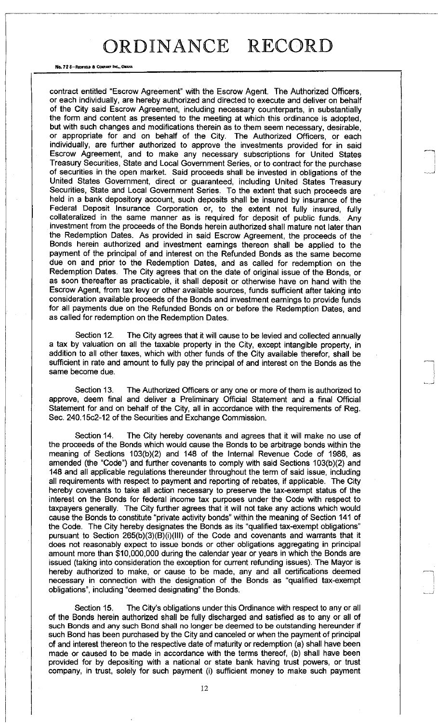No. 72 8-REDFIELD & COMPANY INC., OMAH

contract entitled "Escrow Agreement" with the Escrow Agent. The Authorized Officers, or each individually, are hereby authorized and directed to execute and deliver on behalf of the City said Escrow Agreement, including necessary counterparts, in substantially the form and content as presented to the meeting at which this ordinance is adopted, but with such changes and modifications therein as to them seem necessary, desirable, or appropriate for and on behalf of the City. The Authorized Officers, or each individually, are further authorized to approve the investments provided for in said Escrow Agreement, and to make any necessary subscriptions for United States Treasury Securities, State and Local Government Series, or to contract for the purchase of securities in the open market. Said proceeds shall be invested in obligations of the United States Government, direct or guaranteed, including United States Treasury Securities, State and Local Government Series. To the extent that such proceeds are held in a bank depository account, such deposits shall be insured by insurance of the Federal Deposit Insurance Corporation or, to the extent not fully insured, fully collateralized in the same manner as is required for deposit of public funds. Any investment from the proceeds of the Bonds herein authorized shall mature not later than the Redemption Dates. As provided in said Escrow Agreement, the proceeds of the Bonds herein authorized and investment earnings thereon shall be applied to the payment of the principal of and interest on the Refunded Bonds as the same become due on and prior to the Redemption Dates, and as called for redemption on the Redemption Dates. The City agrees that on the date of original issue of the Bonds, or as soon thereafter as practicable, it shall deposit or otherwise have on hand with the Escrow Agent, from tax levy or other available sources, funds sufficient after taking into consideration available proceeds of the Bonds and investment earnings to provide funds for all payments due on the Refunded Bonds on or before the Redemption Dates, and as called for redemption on the Redemption Dates.

Section 12. The City agrees that it will cause to be levied and collected annually a tax by valuation on all the taxable property in the City, except intangible property, in addition to all other taxes, which with other funds of the City available therefor, shall be sufficient in rate and amount to fully pay the principal of and interest on the Bonds as the same become due.

Section 13. The Authorized Officers or any one or more of them is authorized to approve, deem final and deliver a Preliminary Official Statement and a final Official Statement for and on behalf of the City, all in accordance with the requirements of Reg. Sec. 240.15c2-12 of the Securities and Exchange Commission.

Section 14. The City hereby covenants and agrees that it will make no use of the proceeds of the Bonds which would cause the Bonds to be arbitrage bonds within the meaning of Sections 103(b)(2) and 148 of the Internal Revenue Code of 1986, as amended (the "Code") and further covenants to comply with said Sections 103(b)(2) and 148 and all applicable regulations thereunder throughout the term of said issue, including all requirements with respect to payment and reporting of rebates, if applicable. The City hereby covenants to take all action necessary to preserve the tax-exempt status of the interest on the Bonds for federal income tax purposes under the Code with respect to taxpayers generally. The City further agrees that it will not take any actions which would cause the Bonds to constitute "private activity bonds" within the meaning of Section 141 of the Code. The City hereby designates the Bonds as its "qualified tax-exempt obligations" pursuant to Section 265(b)(3)(B)(i)(lll) of the Code and covenants and warrants that it does not reasonably expect to issue bonds or other obligations aggregating in principal amount more than \$10,000,000 during the calendar year or years in which the Bonds are issued (taking into consideration the exception for current refunding issues). The Mayor is hereby authorized to make, or cause to be made, any and all certifications deemed necessary in connection with the designation of the Bonds as "qualified tax-exempt obligations", including "deemed designating" the Bonds.

Section 15. The City's obligations under this Ordinance with respect to any or all of the Bonds herein authorized shall be fully discharged and satisfied as to any or all of such Bonds and any such Bond shall no longer be deemed to be outstanding hereunder if such Bond has been purchased by the City and canceled or when the payment of principal of and interest thereon to the respective date of maturity or redemption (a) shall have been made or caused to be made in accordance with the terms thereof, (b) shall have been provided for by depositing with a national or state bank having trust powers, or trust company, in trust, solely for such payment (i) sufficient money to make such payment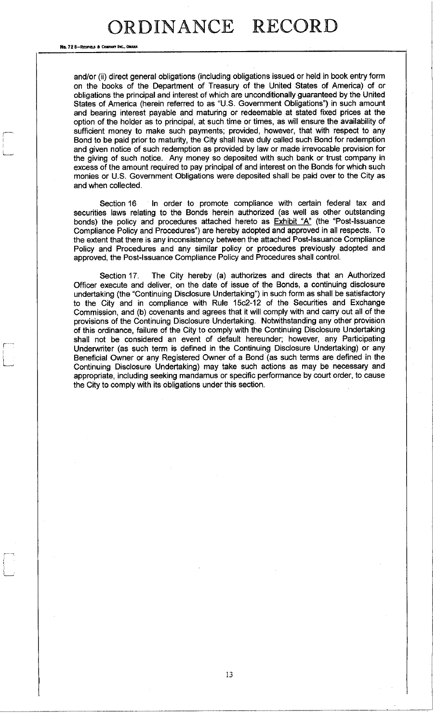No. 72 8-REDFIELD & COMPANY INC., OMAHA

and/or (ii) direct general obligations (including obligations issued or held in book entry form on the books of the Department of Treasury of the United States of America) of or obligations the principal and interest of which are unconditionally guaranteed by the United States of America (herein referred to as "U.S. Government Obligations") in such amount and bearing interest payable and maturing or redeemable at stated fixed prices at the option of the holder as to principal, at such time or times, as will ensure the availability of sufficient money to make such payments; provided, however, that with respect to any Bond to be paid prior to maturity, the City shall have duly called such Bond for redemption and given notice of such redemption as provided by law or made irrevocable provision for the giving of such notice. Any money so deposited with such bank or trust company in excess of the amount required to pay principal of and interest on the Bonds for which such monies or U.S. Government Obligations were deposited shall be paid over to the City as and when collected.

Section 16 In order to promote compliance with certain federal tax and securities laws relating to the Bonds herein authorized (as well as other outstanding bonds) the policy and procedures attached hereto as  $Exhibit$  " $A$ " (the "Post-Issuance Compliance Policy and Procedures") are hereby adopted and approved in all respects. To the extent that there is any inconsistency between the attached Post-Issuance Compliance Policy and Procedures and any similar policy or procedures previously adopted and approved, the Post-Issuance Compliance Policy and Procedures shall control.

Section 17. The City hereby (a) authorizes and directs that an Authorized Officer execute and deliver, on the date of issue of the Bonds, a continuing disclosure undertaking (the "Continuing Disclosure Undertaking") in such form as shall be satisfactory to the City and in compliance with Rule 15c2-12 of the Securities and Exchange Commission, and (b) covenants and agrees that it will comply with and carry out all of the provisions of the Continuing Disclosure Undertaking. Notwithstanding any other provision of this ordinance, failure of the City to comply with the Continuing Disclosure Undertaking shall not be considered an event of default hereunder; however, any Participating Underwriter (as such term is defined in the Continuing Disclosure Undertaking) or any Beneficial Owner or any Registered Owner of a Bond (as such terms are defined in the Continuing Disclosure Undertaking) may take such actions as may be necessary and appropriate, including seeking mandamus or specific performance by court order, to cause the City to comply with its obligations under this section.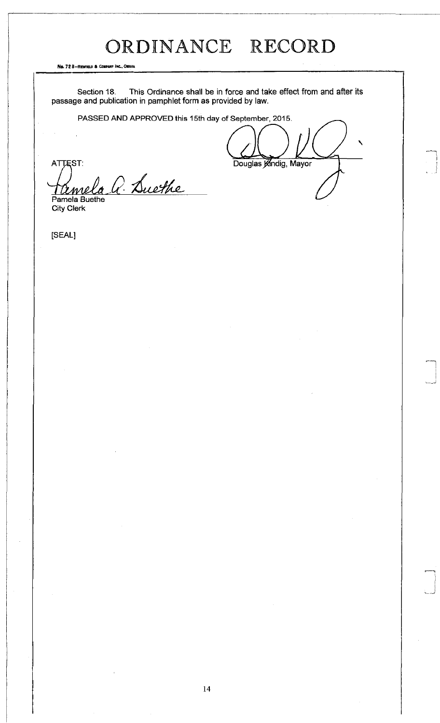No. 72 8-REDFIELD & COMPANY INC., OMAH

Section 18. This Ordinance shall be in force and take effect from and after its passage and publication in pamphlet form as provided by law.

PASSED AND APPROVED this 15th day of September, 2015.

ATTEST: Douglas Kindig, Mayor  $la$  *Luethe* Tremela

City Clerk

[SEAL]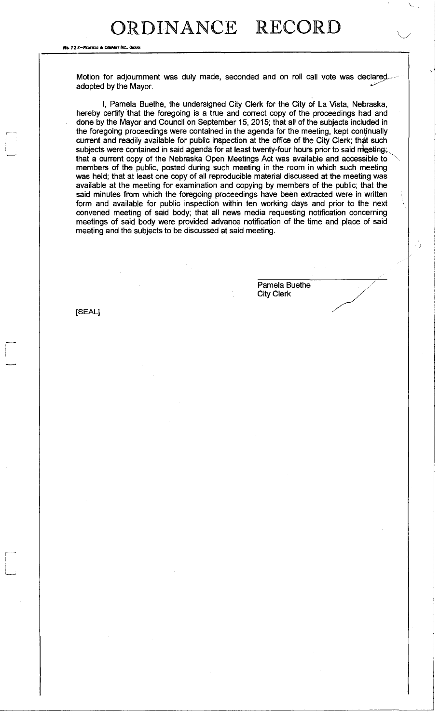No. 72 *8*-Reories & Colleany in

Motion for adjournment was duly made, seconded and on roll call vote was declared adopted by the Mayor.

I, Pamela Buethe, the undersigned City Clerk for the City of La Vista, Nebraska, hereby certify that the foregoing is a true and correct copy of the proceedings had and done by the Mayor and Council on September 15, 2015; that all of the subjects included in the foregoing proceedings were contained in the agenda for the meeting, kept continually current and readily available for public inspection at the office of the City Clerk; that such subjects were contained in said agenda for at least twenty-four hours prior to said meeting; that a current copy of the Nebraska Open Meetings Act was available and accessible to <sup>x</sup> members of the public, posted during such meeting in the room in which such meeting was held; that at least one copy of all reproducible material discussed at the meeting was available at the meeting for examination and copying by members of the public; that the said minutes from which the foregoing proceedings have been extracted were in written form and available for public inspection within ten working days and prior to the next convened meeting of said body; that all news media requesting notification concerning meetings of said body were provided advance notification of the time and place of said meeting and the subjects to be discussed at said meeting.

> Pamela Buethe City Clerk

 $\bar{\nabla}$ 

.

5

z

[SEAL]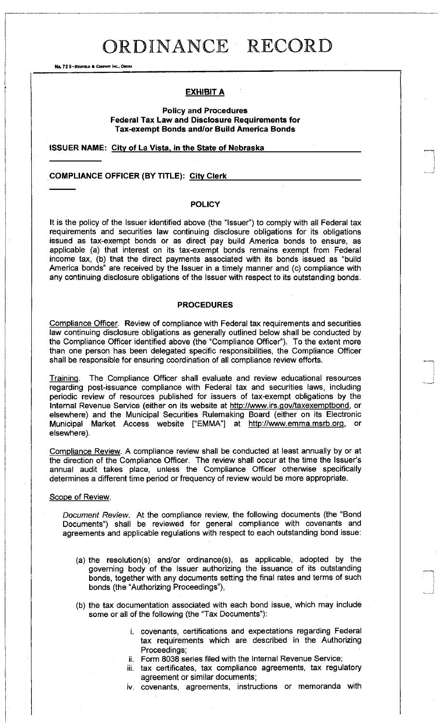No. 72 8-REDFIELD & COMPANY INC., OMAHA

### **EXHIBIT A**

### **Policy and Procedures Federal Tax Law and Disclosure Requirements for Tax-exempt Bonds and/or Build America Bonds**

**ISSUER NAME: City of La Vista, in the State of Nebrask a** 

### **COMPLIANCE OFFICER (BY TITLE): Citv Clerk**

### **POLICY**

It is the policy of the Issuer identified above (the "Issuer") to comply with all Federal tax requirements and securities law continuing disclosure obligations for its obligations issued as tax-exempt bonds or as direct pay build America bonds to ensure, as applicable (a) that interest on its tax-exempt bonds remains exempt from Federal income tax, (b) that the direct payments associated with its bonds issued as "build America bonds" are received by the Issuer in a timely manner and (c) compliance with any continuing disclosure obligations of the Issuer with respect to its outstanding bonds.

### **PROCEDURES**

Compliance Officer. Review of compliance with Federal tax requirements and securities law continuing disclosure obligations as generally outlined below shall be conducted by the Compliance Officer identified above (the "Compliance Officer"). To the extent more than one person has been delegated specific responsibilities, the Compliance Officer shall be responsible for ensuring coordination of all compliance review efforts.

Training. The Compliance Officer shall evaluate and review educational resources regarding post-issuance compliance with Federal tax and securities laws, including periodic review of resources published for issuers of tax-exempt obligations by the Internal Revenue Service (either on its website at http://www.irs.gov/taxexemptbon[d,](http://www.irs.gov/taxexemptbond) or elsewhere) and the Municipal Securities Rulemaking Board (either on its Electronic Municipal Market Access website ["EMMA"] at http://www.emma.msrb.or[g,](http://www.emma.msrb.org) or elsewhere).

Compliance Review. A compliance review shall be conducted at least annually by or at the direction of the Compliance Officer. The review shall occur at the time the Issuer's annual audit takes place, unless the Compliance Officer otherwise specifically determines a different time period or frequency of review would be more appropriate.

#### Scope of Review.

*Document Review.* At the compliance review, the following documents (the "Bond Documents") shall be reviewed for general compliance with covenants and agreements and applicable regulations with respect to each outstanding bond issue:

- (a) the resolution(s) and/or ordinance(s), as applicable, adopted by the governing body of the Issuer authorizing the issuance of its outstanding bonds, together with any documents setting the final rates and terms of such bonds (the "Authorizing Proceedings"),
- (b) the tax documentation associated with each bond issue, which may include some or all of the following (the "Tax Documents"):
	- i. covenants, certifications and expectations regarding Federal tax requirements which are described in the Authorizing Proceedings;
	- ii. Form 8038 series filed with the Internal Revenue Service;
	- iii. tax certificates, tax compliance agreements, tax regulatory agreement or similar documents;
	- iv. covenants, agreements, instructions or memoranda with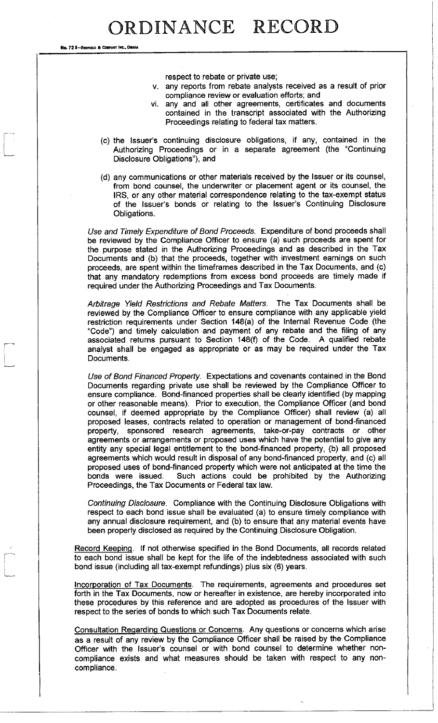No. 72 8-REDFIELD & COMPANY INC., OMAHA

respect to rebate or private use;

- v. any reports from rebate analysts received as a result of prior compliance review or evaluation efforts; and
- vi. any and all other agreements, certificates and documents contained in the transcript associated with the Authorizing Proceedings relating to federal tax matters.
- (c) the Issuer's continuing disclosure obligations, if any, contained in the Authorizing Proceedings or in a separate agreement (the "Continuing Disclosure Obligations"), and
- (d) any communications or other materials received by the Issuer or its counsel, from bond counsel, the underwriter or placement agent or its counsel, the IRS, or any other material correspondence relating to the tax-exempt status of the Issuer's bonds or relating to the Issuer's Continuing Disclosure Obligations.

*Use and Timely Expenditure of Bond Proceeds.* Expenditure of bond proceeds shall be reviewed by the Compliance Officer to ensure (a) such proceeds are spent for the purpose stated in the Authorizing Proceedings and as described in the Tax Documents and (b) that the proceeds, together with investment earnings on such proceeds, are spent within the timeframes described in the Tax Documents, and (c) that any mandatory redemptions from excess bond proceeds are timely made if required under the Authorizing Proceedings and Tax Documents.

*Arbitrage Yield Restrictions and Rebate Matters.* The Tax Documents shall be reviewed by the Compliance Officer to ensure compliance with any applicable yield restriction requirements under Section 148(a) of the Internal Revenue Code (the "Code") and timely calculation and payment of any rebate and the filing of any associated returns pursuant to Section 148(f) of the Code. A qualified rebate analyst shall be engaged as appropriate or as may be required under the Tax Documents.

*Use of Bond Financed Property.* Expectations and covenants contained in the Bond Documents regarding private use shall be reviewed by the Compliance Officer to ensure compliance. Bond-financed properties shall be clearly identified (by mapping or other reasonable means). Prior to execution, the Compliance Officer (and bond counsel, if deemed appropriate by the Compliance Officer) shall review (a) all proposed leases, contracts related to operation or management of bond-financed property, sponsored research agreements, take-or-pay contracts or other agreements or arrangements or proposed uses which have the potential to give any entity any special legal entitlement to the bond-financed property, (b) all proposed agreements which would result in disposal of any bond-financed property, and (c) all proposed uses of bond-financed property which were not anticipated at the time the bonds were issued. Such actions could be prohibited by the Authorizing Proceedings, the Tax Documents or Federal tax law.

*Continuing Disclosure.* Compliance with the Continuing Disclosure Obligations with respect to each bond issue shall be evaluated (a) to ensure timely compliance with any annual disclosure requirement, and (b) to ensure that any material events have been properly disclosed as required by the Continuing Disclosure Obligation.

Record Keeping. If not otherwise specified in the Bond Documents, all records related to each bond issue shall be kept for the life of the indebtedness associated with such bond issue (including all tax-exempt refundings) plus six (6) years.

Incorporation of Tax Documents. The requirements, agreements and procedures set forth in the Tax Documents, now or hereafter in existence, are hereby incorporated into these procedures by this reference and are adopted as procedures of the Issuer with respect to the series of bonds to which such Tax Documents relate.

Consultation Regarding Questions or Concerns. Any questions or concerns which arise as a result of any review by the Compliance Officer shall be raised by the Compliance Officer with the Issuer's counsel or with bond counsel to determine whether noncompliance exists and what measures should be taken with respect to any noncompliance.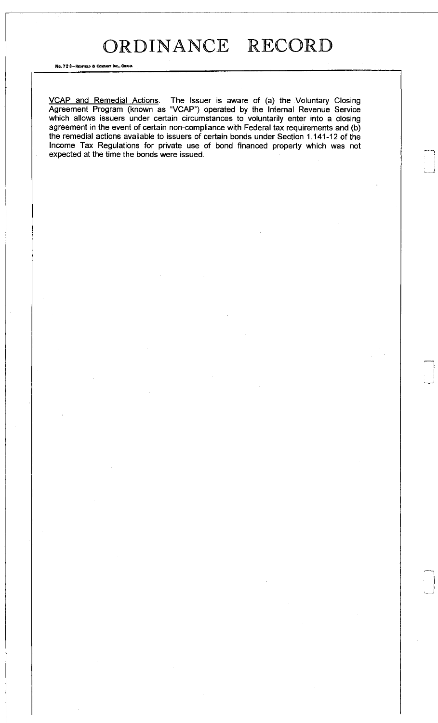No. 72 8-REDFIELD & COMPANY INC., OMAHA

VCAP and Remedial Actions. The Issuer is aware of (a) the Voluntary Closing Agreement Program (known as "VCAP") operated by the Internal Revenue Service which allows issuers under certain circumstances to voluntarily enter into a closing agreement in the event of certain non-compliance with Federal tax requirements and (b) the remedial actions available to issuers of certain bonds under Section 1.141-12 of the Income Tax Regulations for private use of bond financed property which was not expected at the time the bonds were issued.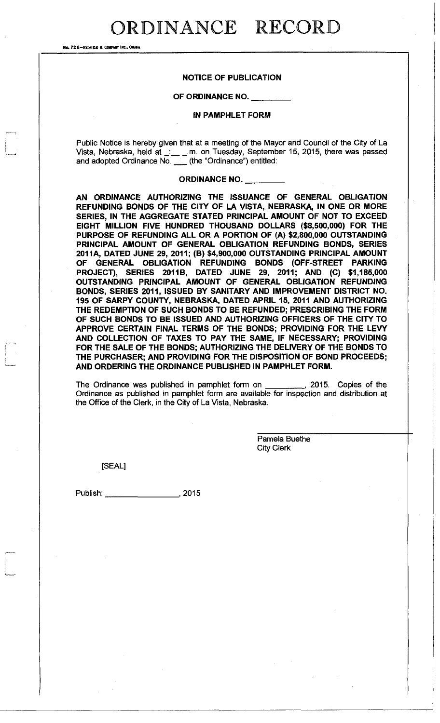No. 72 8-REDFIELD & CONFANY INC., ONAHA

### **NOTICE OF PUBLICATION**

### **OF ORDINANCE NO.**

#### **IN PAMPHLET FORM**

Public Notice is hereby given that at a meeting of the Mayor and Council of the City of La Vista, Nebraska, held at  $\ldots$  m. on Tuesday, September 15, 2015, there was passed and adopted Ordinance No. (the "Ordinance") entitled:

#### **ORDINANCE NO.**

**AN ORDINANCE AUTHORIZING THE ISSUANCE OF GENERAL OBLIGATION REFUNDING BONDS OF THE CITY OF LA VISTA, NEBRASKA, IN ONE OR MORE SERIES, IN THE AGGREGATE STATED PRINCIPAL AMOUNT OF NOT TO EXCEED EIGHT MILLION FIVE HUNDRED THOUSAND DOLLARS (\$8,500,000) FOR THE PURPOSE OF REFUNDING ALL OR A PORTION OF (A) \$2,800,000 OUTSTANDING PRINCIPAL AMOUNT OF GENERAL OBLIGATION REFUNDING BONDS, SERIES 2011 A, DATED JUNE 29, 2011; (B) \$4,900,000 OUTSTANDING PRINCIPAL AMOUNT OF GENERAL OBLIGATION REFUNDING BONDS (OFF-STREET PARKING PROJECT), SERIES 2011B, DATED JUNE 29, 2011; AND (C) \$1,185,000 OUTSTANDING PRINCIPAL AMOUNT OF GENERAL OBLIGATION REFUNDING BONDS, SERIES 2011, ISSUED BY SANITARY AND IMPROVEMENT DISTRICT NO. 195 OF SARPY COUNTY, NEBRASKA, DATED APRIL 15, 2011 AND AUTHORIZING THE REDEMPTION OF SUCH BONDS TO BE REFUNDED; PRESCRIBING THE FORM OF SUCH BONDS TO BE ISSUED AND AUTHORIZING OFFICERS OF THE CITY TO APPROVE CERTAIN FINAL TERMS OF THE BONDS; PROVIDING FOR THE LEVY AND COLLECTION OF TAXES TO PAY THE SAME, IF NECESSARY; PROVIDING FOR THE SALE OF THE BONDS; AUTHORIZING THE DELIVERY OF THE BONDS TO THE PURCHASER; AND PROVIDING FOR THE DISPOSITION OF BOND PROCEEDS; AND ORDERING THE ORDINANCE PUBLISHED IN PAMPHLET FORM.** 

The Ordinance was published in pamphlet form on , 2015. Copies of the Ordinance as published in pamphlet form are available for inspection and distribution at the Office of the Clerk, in the City of La Vista, Nebraska.

> Pamela Buethe City Clerk

[SEAL]

Publish: 2015